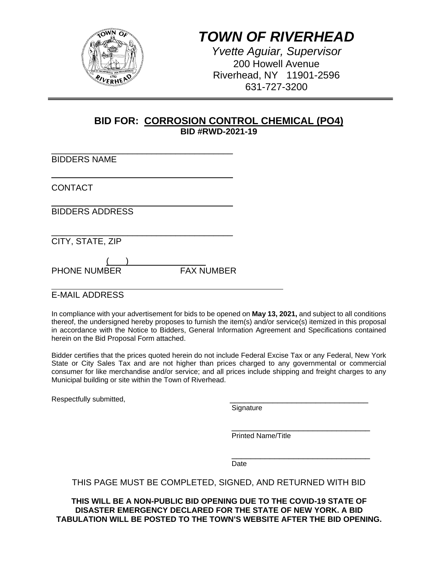

# *TOWN OF RIVERHEAD*

*Yvette Aguiar, Supervisor*  200 Howell Avenue Riverhead, NY 11901-2596 631-727-3200

## **BID FOR: CORROSION CONTROL CHEMICAL (PO4) BID #RWD-2021-19**

| <b>BIDDERS NAME</b>    |  |
|------------------------|--|
| <b>CONTACT</b>         |  |
| <b>BIDDERS ADDRESS</b> |  |
| CITY, STATE, ZIP       |  |
|                        |  |

PHONE NUMBER FAX NUMBER

l E-MAIL ADDRESS

In compliance with your advertisement for bids to be opened on **May 13, 2021,** and subject to all conditions thereof, the undersigned hereby proposes to furnish the item(s) and/or service(s) itemized in this proposal in accordance with the Notice to Bidders, General Information Agreement and Specifications contained herein on the Bid Proposal Form attached.

Bidder certifies that the prices quoted herein do not include Federal Excise Tax or any Federal, New York State or City Sales Tax and are not higher than prices charged to any governmental or commercial consumer for like merchandise and/or service; and all prices include shipping and freight charges to any Municipal building or site within the Town of Riverhead.

Respectfully submitted, experiment and the control of the Signature control of Signature

\_\_\_\_\_\_\_\_\_\_\_\_\_\_\_\_\_\_\_\_\_\_\_\_\_\_\_\_\_ Printed Name/Title

\_\_\_\_\_\_\_\_\_\_\_\_\_\_\_\_\_\_\_\_\_\_\_\_\_\_\_\_\_ Date

## THIS PAGE MUST BE COMPLETED, SIGNED, AND RETURNED WITH BID

**THIS WILL BE A NON-PUBLIC BID OPENING DUE TO THE COVID-19 STATE OF DISASTER EMERGENCY DECLARED FOR THE STATE OF NEW YORK. A BID TABULATION WILL BE POSTED TO THE TOWN'S WEBSITE AFTER THE BID OPENING.**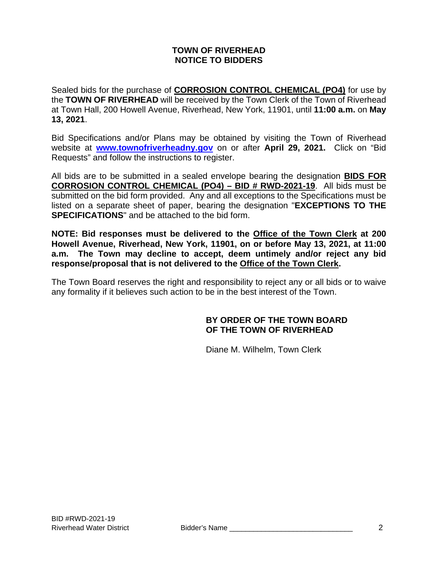#### **TOWN OF RIVERHEAD NOTICE TO BIDDERS**

Sealed bids for the purchase of **CORROSION CONTROL CHEMICAL (PO4)** for use by the **TOWN OF RIVERHEAD** will be received by the Town Clerk of the Town of Riverhead at Town Hall, 200 Howell Avenue, Riverhead, New York, 11901, until **11:00 a.m.** on **May 13, 2021**.

Bid Specifications and/or Plans may be obtained by visiting the Town of Riverhead website at **www.townofriverheadny.gov** on or after **April 29, 2021.** Click on "Bid Requests" and follow the instructions to register.

All bids are to be submitted in a sealed envelope bearing the designation **BIDS FOR CORROSION CONTROL CHEMICAL (PO4) – BID # RWD-2021-19**. All bids must be submitted on the bid form provided. Any and all exceptions to the Specifications must be listed on a separate sheet of paper, bearing the designation "**EXCEPTIONS TO THE SPECIFICATIONS**" and be attached to the bid form.

**NOTE: Bid responses must be delivered to the Office of the Town Clerk at 200 Howell Avenue, Riverhead, New York, 11901, on or before May 13, 2021, at 11:00 a.m. The Town may decline to accept, deem untimely and/or reject any bid response/proposal that is not delivered to the Office of the Town Clerk.**

The Town Board reserves the right and responsibility to reject any or all bids or to waive any formality if it believes such action to be in the best interest of the Town.

### **BY ORDER OF THE TOWN BOARD OF THE TOWN OF RIVERHEAD**

Diane M. Wilhelm, Town Clerk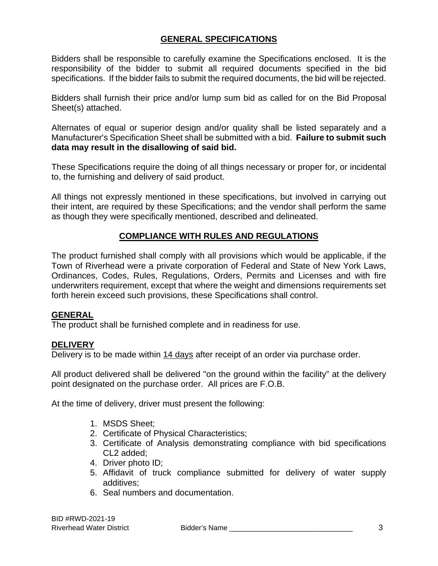## **GENERAL SPECIFICATIONS**

Bidders shall be responsible to carefully examine the Specifications enclosed. It is the responsibility of the bidder to submit all required documents specified in the bid specifications. If the bidder fails to submit the required documents, the bid will be rejected.

Bidders shall furnish their price and/or lump sum bid as called for on the Bid Proposal Sheet(s) attached.

Alternates of equal or superior design and/or quality shall be listed separately and a Manufacturer's Specification Sheet shall be submitted with a bid. **Failure to submit such data may result in the disallowing of said bid.** 

These Specifications require the doing of all things necessary or proper for, or incidental to, the furnishing and delivery of said product.

All things not expressly mentioned in these specifications, but involved in carrying out their intent, are required by these Specifications; and the vendor shall perform the same as though they were specifically mentioned, described and delineated.

## **COMPLIANCE WITH RULES AND REGULATIONS**

The product furnished shall comply with all provisions which would be applicable, if the Town of Riverhead were a private corporation of Federal and State of New York Laws, Ordinances, Codes, Rules, Regulations, Orders, Permits and Licenses and with fire underwriters requirement, except that where the weight and dimensions requirements set forth herein exceed such provisions, these Specifications shall control.

#### **GENERAL**

The product shall be furnished complete and in readiness for use.

#### **DELIVERY**

Delivery is to be made within 14 days after receipt of an order via purchase order.

All product delivered shall be delivered "on the ground within the facility" at the delivery point designated on the purchase order. All prices are F.O.B.

At the time of delivery, driver must present the following:

- 1. MSDS Sheet;
- 2. Certificate of Physical Characteristics;
- 3. Certificate of Analysis demonstrating compliance with bid specifications CL2 added;
- 4. Driver photo ID;
- 5. Affidavit of truck compliance submitted for delivery of water supply additives;
- 6. Seal numbers and documentation.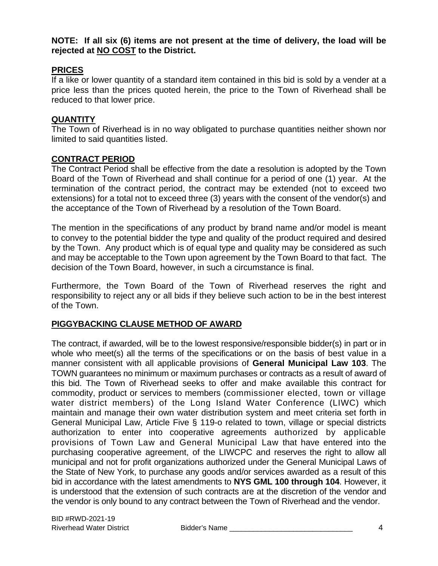**NOTE: If all six (6) items are not present at the time of delivery, the load will be rejected at NO COST to the District.** 

### **PRICES**

If a like or lower quantity of a standard item contained in this bid is sold by a vender at a price less than the prices quoted herein, the price to the Town of Riverhead shall be reduced to that lower price.

#### **QUANTITY**

The Town of Riverhead is in no way obligated to purchase quantities neither shown nor limited to said quantities listed.

### **CONTRACT PERIOD**

The Contract Period shall be effective from the date a resolution is adopted by the Town Board of the Town of Riverhead and shall continue for a period of one (1) year. At the termination of the contract period, the contract may be extended (not to exceed two extensions) for a total not to exceed three (3) years with the consent of the vendor(s) and the acceptance of the Town of Riverhead by a resolution of the Town Board.

The mention in the specifications of any product by brand name and/or model is meant to convey to the potential bidder the type and quality of the product required and desired by the Town. Any product which is of equal type and quality may be considered as such and may be acceptable to the Town upon agreement by the Town Board to that fact. The decision of the Town Board, however, in such a circumstance is final.

Furthermore, the Town Board of the Town of Riverhead reserves the right and responsibility to reject any or all bids if they believe such action to be in the best interest of the Town.

## **PIGGYBACKING CLAUSE METHOD OF AWARD**

The contract, if awarded, will be to the lowest responsive/responsible bidder(s) in part or in whole who meet(s) all the terms of the specifications or on the basis of best value in a manner consistent with all applicable provisions of **General Municipal Law 103**. The TOWN guarantees no minimum or maximum purchases or contracts as a result of award of this bid. The Town of Riverhead seeks to offer and make available this contract for commodity, product or services to members (commissioner elected, town or village water district members) of the Long Island Water Conference (LIWC) which maintain and manage their own water distribution system and meet criteria set forth in General Municipal Law, Article Five § 119-o related to town, village or special districts authorization to enter into cooperative agreements authorized by applicable provisions of Town Law and General Municipal Law that have entered into the purchasing cooperative agreement, of the LIWCPC and reserves the right to allow all municipal and not for profit organizations authorized under the General Municipal Laws of the State of New York, to purchase any goods and/or services awarded as a result of this bid in accordance with the latest amendments to **NYS GML 100 through 104**. However, it is understood that the extension of such contracts are at the discretion of the vendor and the vendor is only bound to any contract between the Town of Riverhead and the vendor.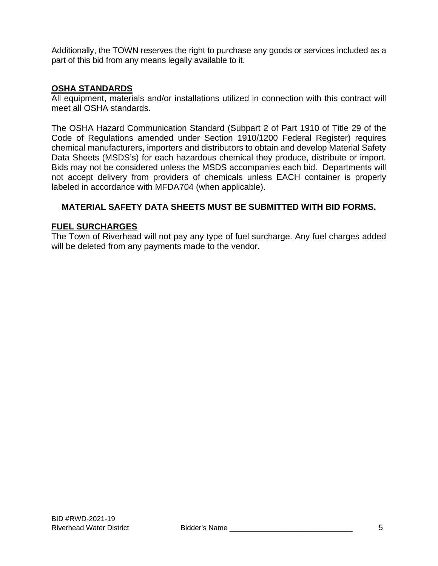Additionally, the TOWN reserves the right to purchase any goods or services included as a part of this bid from any means legally available to it.

### **OSHA STANDARDS**

All equipment, materials and/or installations utilized in connection with this contract will meet all OSHA standards.

The OSHA Hazard Communication Standard (Subpart 2 of Part 1910 of Title 29 of the Code of Regulations amended under Section 1910/1200 Federal Register) requires chemical manufacturers, importers and distributors to obtain and develop Material Safety Data Sheets (MSDS's) for each hazardous chemical they produce, distribute or import. Bids may not be considered unless the MSDS accompanies each bid. Departments will not accept delivery from providers of chemicals unless EACH container is properly labeled in accordance with MFDA704 (when applicable).

### **MATERIAL SAFETY DATA SHEETS MUST BE SUBMITTED WITH BID FORMS.**

#### **FUEL SURCHARGES**

The Town of Riverhead will not pay any type of fuel surcharge. Any fuel charges added will be deleted from any payments made to the vendor.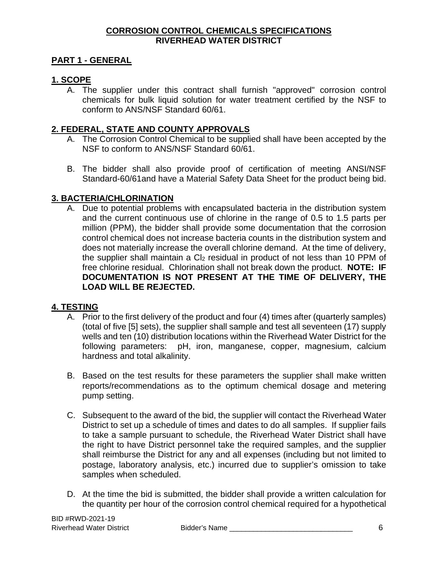#### **CORROSION CONTROL CHEMICALS SPECIFICATIONS RIVERHEAD WATER DISTRICT**

## **PART 1 - GENERAL**

### **1. SCOPE**

A. The supplier under this contract shall furnish "approved" corrosion control chemicals for bulk liquid solution for water treatment certified by the NSF to conform to ANS/NSF Standard 60/61.

#### **2. FEDERAL, STATE AND COUNTY APPROVALS**

- A. The Corrosion Control Chemical to be supplied shall have been accepted by the NSF to conform to ANS/NSF Standard 60/61.
- B. The bidder shall also provide proof of certification of meeting ANSI/NSF Standard-60/61and have a Material Safety Data Sheet for the product being bid.

#### **3. BACTERIA/CHLORINATION**

A. Due to potential problems with encapsulated bacteria in the distribution system and the current continuous use of chlorine in the range of 0.5 to 1.5 parts per million (PPM), the bidder shall provide some documentation that the corrosion control chemical does not increase bacteria counts in the distribution system and does not materially increase the overall chlorine demand. At the time of delivery, the supplier shall maintain a CI<sub>2</sub> residual in product of not less than 10 PPM of free chlorine residual. Chlorination shall not break down the product. **NOTE: IF DOCUMENTATION IS NOT PRESENT AT THE TIME OF DELIVERY, THE LOAD WILL BE REJECTED.** 

#### **4. TESTING**

- A. Prior to the first delivery of the product and four (4) times after (quarterly samples) (total of five [5] sets), the supplier shall sample and test all seventeen (17) supply wells and ten (10) distribution locations within the Riverhead Water District for the following parameters: pH, iron, manganese, copper, magnesium, calcium hardness and total alkalinity.
- B. Based on the test results for these parameters the supplier shall make written reports/recommendations as to the optimum chemical dosage and metering pump setting.
- C. Subsequent to the award of the bid, the supplier will contact the Riverhead Water District to set up a schedule of times and dates to do all samples. If supplier fails to take a sample pursuant to schedule, the Riverhead Water District shall have the right to have District personnel take the required samples, and the supplier shall reimburse the District for any and all expenses (including but not limited to postage, laboratory analysis, etc.) incurred due to supplier's omission to take samples when scheduled.
- D. At the time the bid is submitted, the bidder shall provide a written calculation for the quantity per hour of the corrosion control chemical required for a hypothetical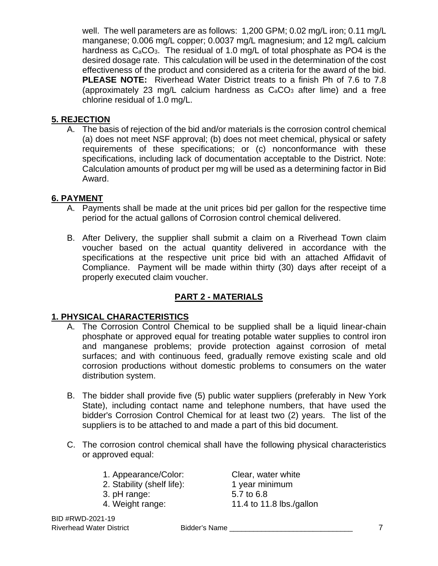well. The well parameters are as follows: 1,200 GPM; 0.02 mg/L iron; 0.11 mg/L manganese; 0.006 mg/L copper; 0.0037 mg/L magnesium; and 12 mg/L calcium hardness as  $C_aCO_3$ . The residual of 1.0 mg/L of total phosphate as PO4 is the desired dosage rate. This calculation will be used in the determination of the cost effectiveness of the product and considered as a criteria for the award of the bid. **PLEASE NOTE:** Riverhead Water District treats to a finish Ph of 7.6 to 7.8 (approximately 23 mg/L calcium hardness as  $C_4CO_3$  after lime) and a free chlorine residual of 1.0 mg/L.

## **5. REJECTION**

A. The basis of rejection of the bid and/or materials is the corrosion control chemical (a) does not meet NSF approval; (b) does not meet chemical, physical or safety requirements of these specifications; or (c) nonconformance with these specifications, including lack of documentation acceptable to the District. Note: Calculation amounts of product per mg will be used as a determining factor in Bid Award.

### **6. PAYMENT**

- A. Payments shall be made at the unit prices bid per gallon for the respective time period for the actual gallons of Corrosion control chemical delivered.
- B. After Delivery, the supplier shall submit a claim on a Riverhead Town claim voucher based on the actual quantity delivered in accordance with the specifications at the respective unit price bid with an attached Affidavit of Compliance. Payment will be made within thirty (30) days after receipt of a properly executed claim voucher.

## **PART 2 - MATERIALS**

#### **1. PHYSICAL CHARACTERISTICS**

- A. The Corrosion Control Chemical to be supplied shall be a liquid linear-chain phosphate or approved equal for treating potable water supplies to control iron and manganese problems; provide protection against corrosion of metal surfaces; and with continuous feed, gradually remove existing scale and old corrosion productions without domestic problems to consumers on the water distribution system.
- B. The bidder shall provide five (5) public water suppliers (preferably in New York State), including contact name and telephone numbers, that have used the bidder's Corrosion Control Chemical for at least two (2) years. The list of the suppliers is to be attached to and made a part of this bid document.
- C. The corrosion control chemical shall have the following physical characteristics or approved equal:

| 1. Appearance/Color:                       | Clear, water white           |
|--------------------------------------------|------------------------------|
| 2. Stability (shelf life):<br>3. pH range: | 1 year minimum<br>5.7 to 6.8 |
| 4. Weight range:                           | 11.4 to 11.8 lbs./gallon     |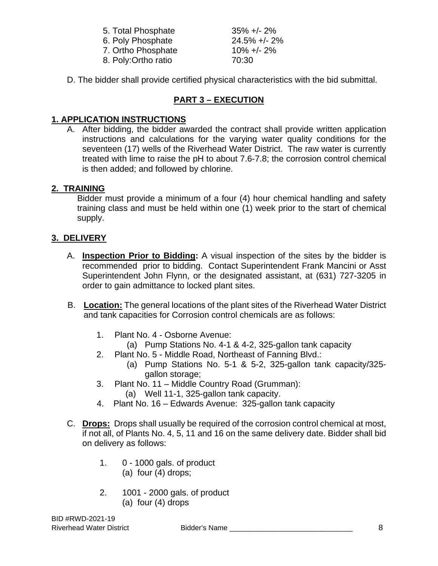| 5. Total Phosphate  | $35\% +12\%$     |
|---------------------|------------------|
| 6. Poly Phosphate   | $24.5\% +/- 2\%$ |
| 7. Ortho Phosphate  | $10\% +12\%$     |
| 8. Poly:Ortho ratio | 70:30            |

D. The bidder shall provide certified physical characteristics with the bid submittal.

# **PART 3 – EXECUTION**

## **1. APPLICATION INSTRUCTIONS**

A. After bidding, the bidder awarded the contract shall provide written application instructions and calculations for the varying water quality conditions for the seventeen (17) wells of the Riverhead Water District. The raw water is currently treated with lime to raise the pH to about 7.6-7.8; the corrosion control chemical is then added; and followed by chlorine.

### **2. TRAINING**

Bidder must provide a minimum of a four (4) hour chemical handling and safety training class and must be held within one (1) week prior to the start of chemical supply.

### **3. DELIVERY**

- A. **Inspection Prior to Bidding:** A visual inspection of the sites by the bidder is recommended prior to bidding. Contact Superintendent Frank Mancini or Asst Superintendent John Flynn, or the designated assistant, at (631) 727-3205 in order to gain admittance to locked plant sites.
- B. **Location:** The general locations of the plant sites of the Riverhead Water District and tank capacities for Corrosion control chemicals are as follows:
	- 1. Plant No. 4 Osborne Avenue:
		- (a) Pump Stations No. 4-1 & 4-2, 325-gallon tank capacity
	- 2. Plant No. 5 Middle Road, Northeast of Fanning Blvd.:
		- (a) Pump Stations No. 5-1 & 5-2, 325-gallon tank capacity/325 gallon storage;
	- 3. Plant No. 11 Middle Country Road (Grumman):
		- (a) Well 11-1, 325-gallon tank capacity.
	- 4. Plant No. 16 Edwards Avenue: 325-gallon tank capacity
- C. **Drops:** Drops shall usually be required of the corrosion control chemical at most, if not all, of Plants No. 4, 5, 11 and 16 on the same delivery date. Bidder shall bid on delivery as follows:
	- 1. 0 1000 gals. of product (a) four (4) drops;
	- 2. 1001 2000 gals. of product (a) four (4) drops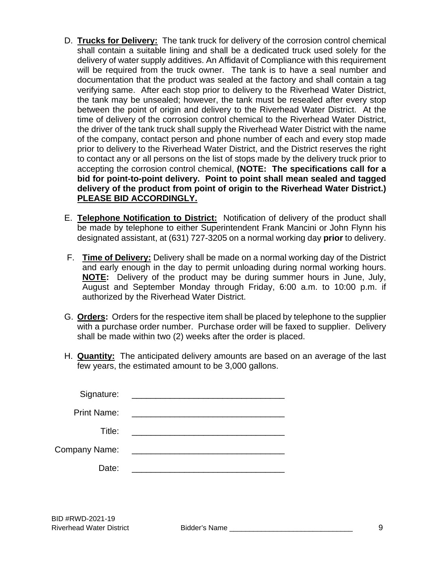- D. **Trucks for Delivery:** The tank truck for delivery of the corrosion control chemical shall contain a suitable lining and shall be a dedicated truck used solely for the delivery of water supply additives. An Affidavit of Compliance with this requirement will be required from the truck owner. The tank is to have a seal number and documentation that the product was sealed at the factory and shall contain a tag verifying same. After each stop prior to delivery to the Riverhead Water District, the tank may be unsealed; however, the tank must be resealed after every stop between the point of origin and delivery to the Riverhead Water District. At the time of delivery of the corrosion control chemical to the Riverhead Water District, the driver of the tank truck shall supply the Riverhead Water District with the name of the company, contact person and phone number of each and every stop made prior to delivery to the Riverhead Water District, and the District reserves the right to contact any or all persons on the list of stops made by the delivery truck prior to accepting the corrosion control chemical, **(NOTE: The specifications call for a bid for point-to-point delivery. Point to point shall mean sealed and tagged delivery of the product from point of origin to the Riverhead Water District.) PLEASE BID ACCORDINGLY.**
- E. **Telephone Notification to District:** Notification of delivery of the product shall be made by telephone to either Superintendent Frank Mancini or John Flynn his designated assistant, at (631) 727-3205 on a normal working day **prior** to delivery.
- F. **Time of Delivery:** Delivery shall be made on a normal working day of the District and early enough in the day to permit unloading during normal working hours. **NOTE:** Delivery of the product may be during summer hours in June, July, August and September Monday through Friday, 6:00 a.m. to 10:00 p.m. if authorized by the Riverhead Water District.
- G. **Orders:** Orders for the respective item shall be placed by telephone to the supplier with a purchase order number. Purchase order will be faxed to supplier. Delivery shall be made within two (2) weeks after the order is placed.
- H. **Quantity:** The anticipated delivery amounts are based on an average of the last few years, the estimated amount to be 3,000 gallons.

| Signature:           |                                                                                                                       |
|----------------------|-----------------------------------------------------------------------------------------------------------------------|
| <b>Print Name:</b>   | <u> 1989 - Andrea Andrew Maria (h. 1989).</u>                                                                         |
| Title:               | <u> 1980 - Andrea Andrew Maria (h. 1980).</u>                                                                         |
| <b>Company Name:</b> | <u> 1980 - Jan James James James James James James James James James James James James James James James James Ja</u> |
| Date:                |                                                                                                                       |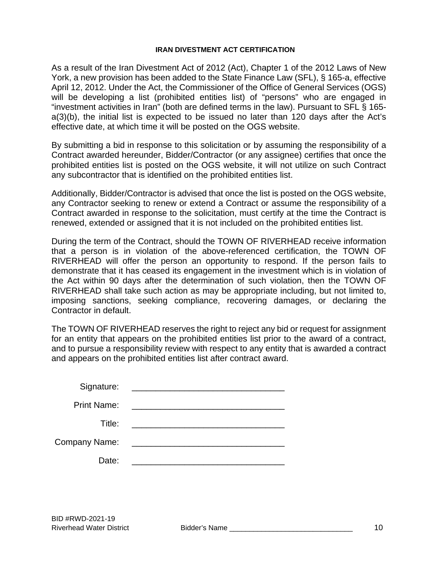#### **IRAN DIVESTMENT ACT CERTIFICATION**

As a result of the Iran Divestment Act of 2012 (Act), Chapter 1 of the 2012 Laws of New York, a new provision has been added to the State Finance Law (SFL), § 165-a, effective April 12, 2012. Under the Act, the Commissioner of the Office of General Services (OGS) will be developing a list (prohibited entities list) of "persons" who are engaged in "investment activities in Iran" (both are defined terms in the law). Pursuant to SFL § 165 a(3)(b), the initial list is expected to be issued no later than 120 days after the Act's effective date, at which time it will be posted on the OGS website.

By submitting a bid in response to this solicitation or by assuming the responsibility of a Contract awarded hereunder, Bidder/Contractor (or any assignee) certifies that once the prohibited entities list is posted on the OGS website, it will not utilize on such Contract any subcontractor that is identified on the prohibited entities list.

Additionally, Bidder/Contractor is advised that once the list is posted on the OGS website, any Contractor seeking to renew or extend a Contract or assume the responsibility of a Contract awarded in response to the solicitation, must certify at the time the Contract is renewed, extended or assigned that it is not included on the prohibited entities list.

During the term of the Contract, should the TOWN OF RIVERHEAD receive information that a person is in violation of the above-referenced certification, the TOWN OF RIVERHEAD will offer the person an opportunity to respond. If the person fails to demonstrate that it has ceased its engagement in the investment which is in violation of the Act within 90 days after the determination of such violation, then the TOWN OF RIVERHEAD shall take such action as may be appropriate including, but not limited to, imposing sanctions, seeking compliance, recovering damages, or declaring the Contractor in default.

The TOWN OF RIVERHEAD reserves the right to reject any bid or request for assignment for an entity that appears on the prohibited entities list prior to the award of a contract, and to pursue a responsibility review with respect to any entity that is awarded a contract and appears on the prohibited entities list after contract award.

| Signature:           | <u> Territoria de la contenentación de la contenentación de la contenentación de la contenentación de la contene</u> |
|----------------------|----------------------------------------------------------------------------------------------------------------------|
| <b>Print Name:</b>   | <u> 1989 - Andrea Andrew Maria (h. 1989).</u>                                                                        |
| Title:               | <u> 1980 - Andrea Andrew Maria (h. 1980).</u>                                                                        |
| <b>Company Name:</b> | <u> 1980 - Andrea Andrew Maria (h. 1980).</u>                                                                        |
| Date:                |                                                                                                                      |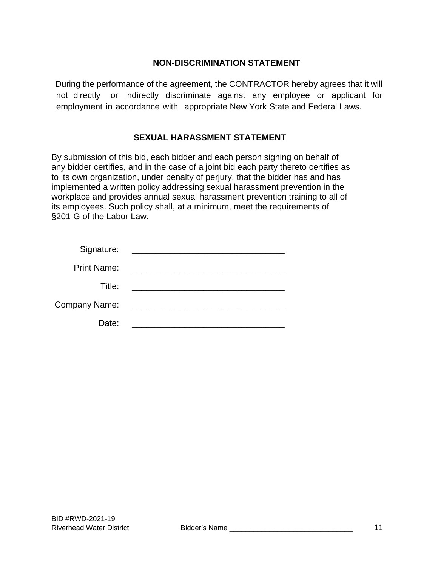#### **NON-DISCRIMINATION STATEMENT**

During the performance of the agreement, the CONTRACTOR hereby agrees that it will not directly or indirectly discriminate against any employee or applicant for employment in accordance with appropriate New York State and Federal Laws.

### **SEXUAL HARASSMENT STATEMENT**

By submission of this bid, each bidder and each person signing on behalf of any bidder certifies, and in the case of a joint bid each party thereto certifies as to its own organization, under penalty of perjury, that the bidder has and has implemented a written policy addressing sexual harassment prevention in the workplace and provides annual sexual harassment prevention training to all of its employees. Such policy shall, at a minimum, meet the requirements of §201-G of the Labor Law.

| Signature:           | <u> 1980 - Antonio Alemania, prima prestava postala de la provincia de la provincia de la provincia de la provincia de la provincia de la provincia de la provincia de la provincia de la provincia de la provincia de la provin</u> |
|----------------------|--------------------------------------------------------------------------------------------------------------------------------------------------------------------------------------------------------------------------------------|
| <b>Print Name:</b>   | <u> 1980 - Andrea Aonaich, ann an t-Aonaich an t-Aonaich ann an t-Aonaich ann an t-Aonaich ann an t-Aonaich ann an </u>                                                                                                              |
| Title:               |                                                                                                                                                                                                                                      |
| <b>Company Name:</b> | <u> 1980 - Andrea Andrew Maria (h. 1980).</u>                                                                                                                                                                                        |
| Date:                |                                                                                                                                                                                                                                      |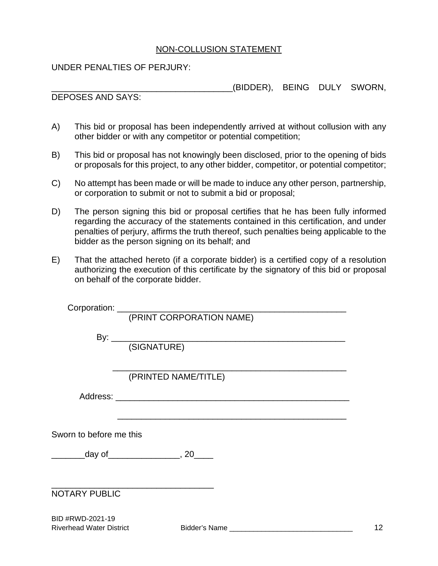#### NON-COLLUSION STATEMENT

UNDER PENALTIES OF PERJURY:

(BIDDER), BEING DULY SWORN,

DEPOSES AND SAYS:

- A) This bid or proposal has been independently arrived at without collusion with any other bidder or with any competitor or potential competition;
- B) This bid or proposal has not knowingly been disclosed, prior to the opening of bids or proposals for this project, to any other bidder, competitor, or potential competitor;
- C) No attempt has been made or will be made to induce any other person, partnership, or corporation to submit or not to submit a bid or proposal;
- D) The person signing this bid or proposal certifies that he has been fully informed regarding the accuracy of the statements contained in this certification, and under penalties of perjury, affirms the truth thereof, such penalties being applicable to the bidder as the person signing on its behalf; and
- E) That the attached hereto (if a corporate bidder) is a certified copy of a resolution authorizing the execution of this certificate by the signatory of this bid or proposal on behalf of the corporate bidder.

|                         | (PRINTED NAME/TITLE)                        |
|-------------------------|---------------------------------------------|
|                         |                                             |
|                         |                                             |
|                         |                                             |
|                         |                                             |
| Sworn to before me this |                                             |
|                         |                                             |
|                         | __________day of__________________, 20_____ |
|                         |                                             |
|                         |                                             |
|                         |                                             |
| <b>NOTARY PUBLIC</b>    |                                             |
|                         |                                             |
| RID #RWD-2021-19        |                                             |

BID #RWD-2021-19 Riverhead Water District **Bidder's Name Biography Bidder's Name Communist 12**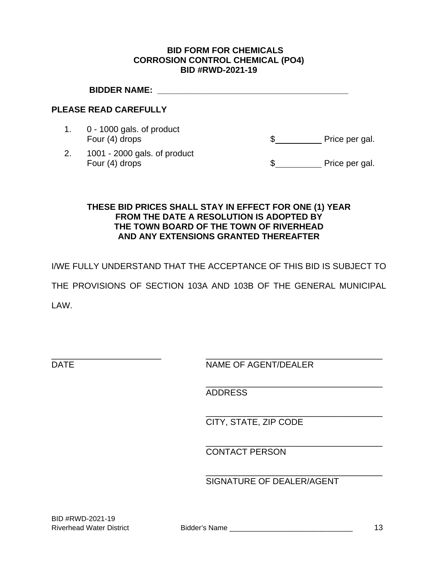#### **BID FORM FOR CHEMICALS CORROSION CONTROL CHEMICAL (PO4) BID #RWD-2021-19**

|    | <b>BIDDER NAME:</b>                            |                |
|----|------------------------------------------------|----------------|
|    | <b>PLEASE READ CAREFULLY</b>                   |                |
|    | 0 - 1000 gals. of product<br>Four (4) drops    | Price per gal. |
| 2. | 1001 - 2000 gals. of product<br>Four (4) drops | Price per gal. |
|    |                                                |                |

#### **THESE BID PRICES SHALL STAY IN EFFECT FOR ONE (1) YEAR FROM THE DATE A RESOLUTION IS ADOPTED BY THE TOWN BOARD OF THE TOWN OF RIVERHEAD AND ANY EXTENSIONS GRANTED THEREAFTER**

I/WE FULLY UNDERSTAND THAT THE ACCEPTANCE OF THIS BID IS SUBJECT TO

THE PROVISIONS OF SECTION 103A AND 103B OF THE GENERAL MUNICIPAL

LAW.

\_\_\_\_\_\_\_\_\_\_\_\_\_\_\_\_\_\_\_\_\_\_\_ \_\_\_\_\_\_\_\_\_\_\_\_\_\_\_\_\_\_\_\_\_\_\_\_\_\_\_\_\_\_\_\_\_\_\_\_\_ DATE NAME OF AGENT/DEALER

ADDRESS

 $\overline{\phantom{a}}$  , which is a set of the set of the set of the set of the set of the set of the set of the set of the set of the set of the set of the set of the set of the set of the set of the set of the set of the set of th

 $\overline{\phantom{a}}$  , which is a set of the set of the set of the set of the set of the set of the set of the set of the set of the set of the set of the set of the set of the set of the set of the set of the set of the set of th

 $\overline{\phantom{a}}$  , which is a set of the set of the set of the set of the set of the set of the set of the set of the set of the set of the set of the set of the set of the set of the set of the set of the set of the set of th

CITY, STATE, ZIP CODE

 $\overline{\phantom{a}}$  , which is a set of the set of the set of the set of the set of the set of the set of the set of the set of the set of the set of the set of the set of the set of the set of the set of the set of the set of th CONTACT PERSON

SIGNATURE OF DEALER/AGENT